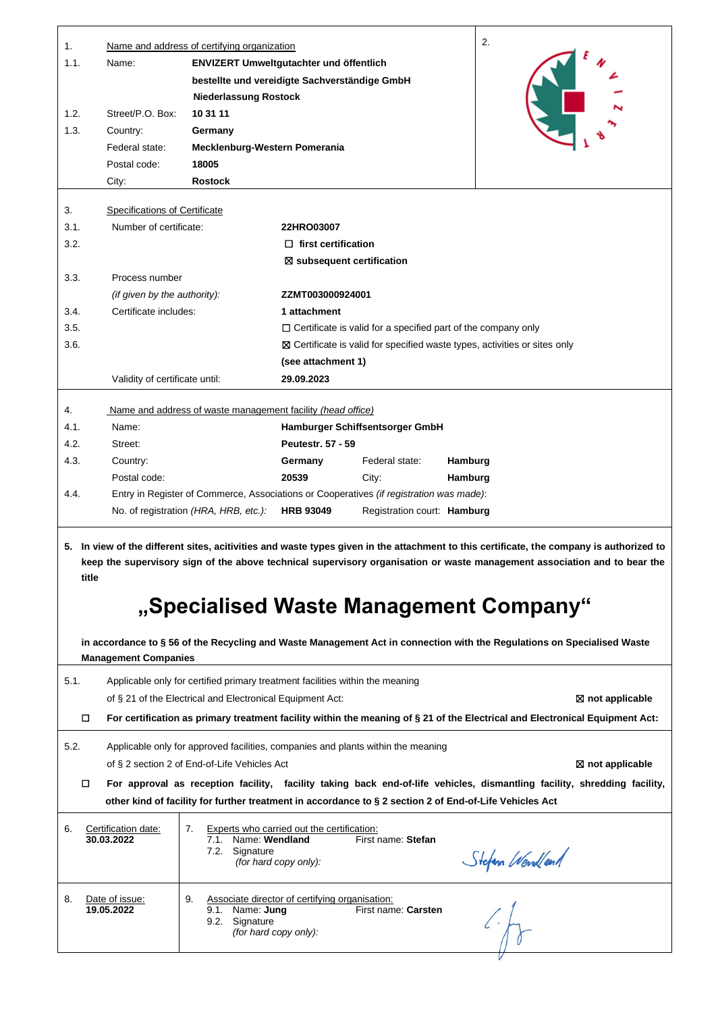| 1.     |                                                                                                                                                                                                                                                                       | Name and address of certifying organization                                   |                                                                                       |                                                                                                         |         | 2.                                                                                                                           |  |  |  |
|--------|-----------------------------------------------------------------------------------------------------------------------------------------------------------------------------------------------------------------------------------------------------------------------|-------------------------------------------------------------------------------|---------------------------------------------------------------------------------------|---------------------------------------------------------------------------------------------------------|---------|------------------------------------------------------------------------------------------------------------------------------|--|--|--|
| 1.1.   | Name:                                                                                                                                                                                                                                                                 | ENVIZERT Umweltgutachter und öffentlich                                       |                                                                                       |                                                                                                         |         |                                                                                                                              |  |  |  |
|        |                                                                                                                                                                                                                                                                       | bestellte und vereidigte Sachverständige GmbH                                 |                                                                                       |                                                                                                         |         |                                                                                                                              |  |  |  |
|        |                                                                                                                                                                                                                                                                       | <b>Niederlassung Rostock</b>                                                  |                                                                                       |                                                                                                         |         |                                                                                                                              |  |  |  |
| 1.2.   | Street/P.O. Box:                                                                                                                                                                                                                                                      | 10 31 11                                                                      |                                                                                       |                                                                                                         |         |                                                                                                                              |  |  |  |
| 1.3.   | Country:                                                                                                                                                                                                                                                              | Germany                                                                       |                                                                                       |                                                                                                         |         |                                                                                                                              |  |  |  |
|        | Federal state:                                                                                                                                                                                                                                                        | Mecklenburg-Western Pomerania                                                 |                                                                                       |                                                                                                         |         |                                                                                                                              |  |  |  |
|        | Postal code:                                                                                                                                                                                                                                                          | 18005                                                                         |                                                                                       |                                                                                                         |         |                                                                                                                              |  |  |  |
|        | City:                                                                                                                                                                                                                                                                 | <b>Rostock</b>                                                                |                                                                                       |                                                                                                         |         |                                                                                                                              |  |  |  |
| 3.     | Specifications of Certificate                                                                                                                                                                                                                                         |                                                                               |                                                                                       |                                                                                                         |         |                                                                                                                              |  |  |  |
| 3.1.   | Number of certificate:                                                                                                                                                                                                                                                |                                                                               | 22HRO03007                                                                            |                                                                                                         |         |                                                                                                                              |  |  |  |
| 3.2.   |                                                                                                                                                                                                                                                                       |                                                                               | $\Box$ first certification                                                            |                                                                                                         |         |                                                                                                                              |  |  |  |
|        |                                                                                                                                                                                                                                                                       |                                                                               |                                                                                       | ⊠ subsequent certification                                                                              |         |                                                                                                                              |  |  |  |
| 3.3.   | Process number                                                                                                                                                                                                                                                        |                                                                               |                                                                                       |                                                                                                         |         |                                                                                                                              |  |  |  |
|        | (if given by the authority):                                                                                                                                                                                                                                          |                                                                               | ZZMT003000924001                                                                      |                                                                                                         |         |                                                                                                                              |  |  |  |
| 3.4.   | Certificate includes:                                                                                                                                                                                                                                                 |                                                                               | 1 attachment                                                                          |                                                                                                         |         |                                                                                                                              |  |  |  |
| 3.5.   |                                                                                                                                                                                                                                                                       |                                                                               |                                                                                       | $\Box$ Certificate is valid for a specified part of the company only                                    |         |                                                                                                                              |  |  |  |
| 3.6.   |                                                                                                                                                                                                                                                                       |                                                                               |                                                                                       |                                                                                                         |         | ⊠ Certificate is valid for specified waste types, activities or sites only                                                   |  |  |  |
|        |                                                                                                                                                                                                                                                                       |                                                                               | (see attachment 1)                                                                    |                                                                                                         |         |                                                                                                                              |  |  |  |
|        | Validity of certificate until:                                                                                                                                                                                                                                        |                                                                               | 29.09.2023                                                                            |                                                                                                         |         |                                                                                                                              |  |  |  |
| 4.     |                                                                                                                                                                                                                                                                       | Name and address of waste management facility (head office)                   |                                                                                       |                                                                                                         |         |                                                                                                                              |  |  |  |
| 4.1.   | Name:                                                                                                                                                                                                                                                                 |                                                                               |                                                                                       | Hamburger Schiffsentsorger GmbH                                                                         |         |                                                                                                                              |  |  |  |
| 4.2.   | Street:                                                                                                                                                                                                                                                               |                                                                               | <b>Peutestr. 57 - 59</b>                                                              |                                                                                                         |         |                                                                                                                              |  |  |  |
| 4.3.   | Country:                                                                                                                                                                                                                                                              |                                                                               | Germany                                                                               | Federal state:                                                                                          | Hamburg |                                                                                                                              |  |  |  |
|        | Postal code:                                                                                                                                                                                                                                                          |                                                                               | 20539                                                                                 | City:                                                                                                   | Hamburg |                                                                                                                              |  |  |  |
| 4.4.   |                                                                                                                                                                                                                                                                       |                                                                               |                                                                                       | Entry in Register of Commerce, Associations or Cooperatives (if registration was made):                 |         |                                                                                                                              |  |  |  |
|        |                                                                                                                                                                                                                                                                       | No. of registration (HRA, HRB, etc.):                                         | <b>HRB 93049</b>                                                                      | Registration court: Hamburg                                                                             |         |                                                                                                                              |  |  |  |
| title  | 5. In view of the different sites, acitivities and waste types given in the attachment to this certificate, the company is authorized to<br>keep the supervisory sign of the above technical supervisory organisation or waste management association and to bear the |                                                                               |                                                                                       |                                                                                                         |         |                                                                                                                              |  |  |  |
|        |                                                                                                                                                                                                                                                                       |                                                                               |                                                                                       |                                                                                                         |         | "Specialised Waste Management Company"                                                                                       |  |  |  |
|        | <b>Management Companies</b>                                                                                                                                                                                                                                           |                                                                               |                                                                                       |                                                                                                         |         | in accordance to § 56 of the Recycling and Waste Management Act in connection with the Regulations on Specialised Waste      |  |  |  |
| 5.1.   |                                                                                                                                                                                                                                                                       | Applicable only for certified primary treatment facilities within the meaning |                                                                                       |                                                                                                         |         |                                                                                                                              |  |  |  |
|        |                                                                                                                                                                                                                                                                       | of § 21 of the Electrical and Electronical Equipment Act:                     |                                                                                       |                                                                                                         |         | ⊠ not applicable                                                                                                             |  |  |  |
| $\Box$ |                                                                                                                                                                                                                                                                       |                                                                               |                                                                                       |                                                                                                         |         | For certification as primary treatment facility within the meaning of § 21 of the Electrical and Electronical Equipment Act: |  |  |  |
| 5.2.   |                                                                                                                                                                                                                                                                       |                                                                               |                                                                                       | Applicable only for approved facilities, companies and plants within the meaning                        |         |                                                                                                                              |  |  |  |
|        |                                                                                                                                                                                                                                                                       | of § 2 section 2 of End-of-Life Vehicles Act                                  |                                                                                       |                                                                                                         |         | ⊠ not applicable                                                                                                             |  |  |  |
|        |                                                                                                                                                                                                                                                                       |                                                                               |                                                                                       |                                                                                                         |         | For approval as reception facility, facility taking back end-of-life vehicles, dismantling facility, shredding facility,     |  |  |  |
|        |                                                                                                                                                                                                                                                                       |                                                                               |                                                                                       | other kind of facility for further treatment in accordance to § 2 section 2 of End-of-Life Vehicles Act |         |                                                                                                                              |  |  |  |
| 6.     | Certification date:<br>30.03.2022                                                                                                                                                                                                                                     | 7.<br>7.1.<br>7.2. Signature                                                  | Experts who carried out the certification:<br>Name: Wendland<br>(for hard copy only): | First name: Stefan                                                                                      |         | Stefan Wendland                                                                                                              |  |  |  |
| 8.     | Date of issue:<br>19.05.2022                                                                                                                                                                                                                                          | 9.<br>9.1. Name: Jung<br>9.2. Signature                                       | Associate director of certifying organisation:<br>(for hard copy only):               | First name: Carsten                                                                                     |         |                                                                                                                              |  |  |  |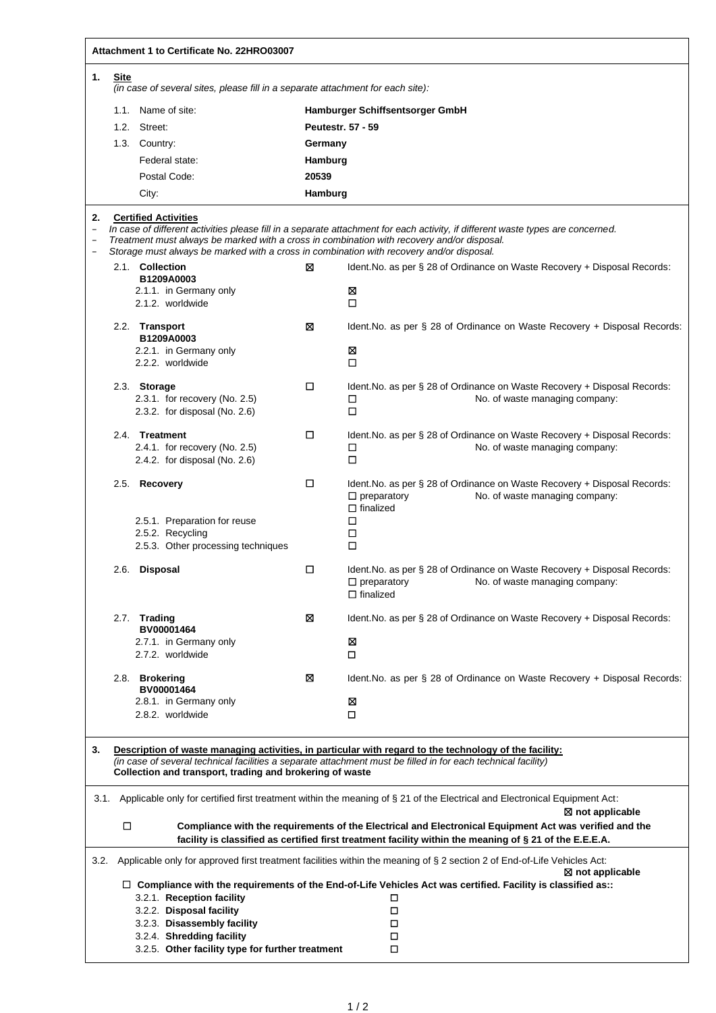|                                                                                  | Attachment 1 to Certificate No. 22HRO03007                                                                                                                                                                                                                                          |                                                                                                                                                                                        |         |                                                                                                                                                            |  |  |  |  |  |
|----------------------------------------------------------------------------------|-------------------------------------------------------------------------------------------------------------------------------------------------------------------------------------------------------------------------------------------------------------------------------------|----------------------------------------------------------------------------------------------------------------------------------------------------------------------------------------|---------|------------------------------------------------------------------------------------------------------------------------------------------------------------|--|--|--|--|--|
| 1.                                                                               | Site                                                                                                                                                                                                                                                                                |                                                                                                                                                                                        |         |                                                                                                                                                            |  |  |  |  |  |
|                                                                                  | (in case of several sites, please fill in a separate attachment for each site):                                                                                                                                                                                                     |                                                                                                                                                                                        |         |                                                                                                                                                            |  |  |  |  |  |
|                                                                                  |                                                                                                                                                                                                                                                                                     | 1.1. Name of site:                                                                                                                                                                     |         | Hamburger Schiffsentsorger GmbH                                                                                                                            |  |  |  |  |  |
|                                                                                  |                                                                                                                                                                                                                                                                                     | 1.2. Street:                                                                                                                                                                           |         | <b>Peutestr. 57 - 59</b>                                                                                                                                   |  |  |  |  |  |
|                                                                                  |                                                                                                                                                                                                                                                                                     | 1.3. Country:                                                                                                                                                                          |         | Germany                                                                                                                                                    |  |  |  |  |  |
|                                                                                  |                                                                                                                                                                                                                                                                                     | Federal state:                                                                                                                                                                         | Hamburg |                                                                                                                                                            |  |  |  |  |  |
| Postal Code:<br>20539                                                            |                                                                                                                                                                                                                                                                                     |                                                                                                                                                                                        |         |                                                                                                                                                            |  |  |  |  |  |
|                                                                                  |                                                                                                                                                                                                                                                                                     | City:                                                                                                                                                                                  | Hamburg |                                                                                                                                                            |  |  |  |  |  |
| 2.                                                                               |                                                                                                                                                                                                                                                                                     | <b>Certified Activities</b>                                                                                                                                                            |         |                                                                                                                                                            |  |  |  |  |  |
| $\overline{\phantom{0}}$<br>$\overline{\phantom{a}}$<br>$\overline{\phantom{0}}$ |                                                                                                                                                                                                                                                                                     | Treatment must always be marked with a cross in combination with recovery and/or disposal.<br>Storage must always be marked with a cross in combination with recovery and/or disposal. |         | In case of different activities please fill in a separate attachment for each activity, if different waste types are concerned.                            |  |  |  |  |  |
|                                                                                  |                                                                                                                                                                                                                                                                                     | 2.1. Collection                                                                                                                                                                        | ⊠       | Ident. No. as per § 28 of Ordinance on Waste Recovery + Disposal Records:                                                                                  |  |  |  |  |  |
|                                                                                  |                                                                                                                                                                                                                                                                                     | B1209A0003                                                                                                                                                                             |         |                                                                                                                                                            |  |  |  |  |  |
|                                                                                  |                                                                                                                                                                                                                                                                                     | 2.1.1. in Germany only<br>2.1.2. worldwide                                                                                                                                             |         | ⊠<br>□                                                                                                                                                     |  |  |  |  |  |
|                                                                                  |                                                                                                                                                                                                                                                                                     | 2.2. Transport<br>B1209A0003                                                                                                                                                           | ⊠       | Ident. No. as per § 28 of Ordinance on Waste Recovery + Disposal Records:                                                                                  |  |  |  |  |  |
|                                                                                  |                                                                                                                                                                                                                                                                                     | 2.2.1. in Germany only<br>2.2.2. worldwide                                                                                                                                             |         | ⊠<br>□                                                                                                                                                     |  |  |  |  |  |
|                                                                                  |                                                                                                                                                                                                                                                                                     | 2.3. Storage<br>2.3.1. for recovery (No. 2.5)<br>2.3.2. for disposal (No. $2.6$ )                                                                                                      | □       | Ident. No. as per § 28 of Ordinance on Waste Recovery + Disposal Records:<br>No. of waste managing company:<br>□<br>$\Box$                                 |  |  |  |  |  |
|                                                                                  |                                                                                                                                                                                                                                                                                     | 2.4. Treatment<br>2.4.1. for recovery (No. 2.5)<br>2.4.2. for disposal (No. 2.6)                                                                                                       | □       | Ident. No. as per § 28 of Ordinance on Waste Recovery + Disposal Records:<br>$\Box$<br>No. of waste managing company:<br>□                                 |  |  |  |  |  |
|                                                                                  |                                                                                                                                                                                                                                                                                     | 2.5. Recovery<br>2.5.1. Preparation for reuse                                                                                                                                          | □       | Ident. No. as per § 28 of Ordinance on Waste Recovery + Disposal Records:<br>$\Box$ preparatory<br>No. of waste managing company:<br>$\Box$ finalized<br>□ |  |  |  |  |  |
|                                                                                  |                                                                                                                                                                                                                                                                                     | 2.5.2. Recycling<br>2.5.3. Other processing techniques                                                                                                                                 |         | □<br>□                                                                                                                                                     |  |  |  |  |  |
|                                                                                  |                                                                                                                                                                                                                                                                                     | 2.6. Disposal                                                                                                                                                                          | □       | Ident. No. as per § 28 of Ordinance on Waste Recovery + Disposal Records:<br>$\Box$ preparatory<br>No. of waste managing company:<br>$\Box$ finalized      |  |  |  |  |  |
|                                                                                  |                                                                                                                                                                                                                                                                                     | 2.7. Trading<br>BV00001464                                                                                                                                                             | ⊠       | Ident. No. as per § 28 of Ordinance on Waste Recovery + Disposal Records:                                                                                  |  |  |  |  |  |
|                                                                                  |                                                                                                                                                                                                                                                                                     | 2.7.1. in Germany only<br>2.7.2. worldwide                                                                                                                                             |         | ⊠<br>□                                                                                                                                                     |  |  |  |  |  |
|                                                                                  |                                                                                                                                                                                                                                                                                     | 2.8. Brokering<br>BV00001464                                                                                                                                                           | ⊠       | Ident. No. as per $\S$ 28 of Ordinance on Waste Recovery + Disposal Records:                                                                               |  |  |  |  |  |
|                                                                                  |                                                                                                                                                                                                                                                                                     | 2.8.1. in Germany only<br>2.8.2. worldwide                                                                                                                                             |         | ⊠<br>□                                                                                                                                                     |  |  |  |  |  |
| 3.                                                                               | Description of waste managing activities, in particular with regard to the technology of the facility:<br>(in case of several technical facilities a separate attachment must be filled in for each technical facility)<br>Collection and transport, trading and brokering of waste |                                                                                                                                                                                        |         |                                                                                                                                                            |  |  |  |  |  |
|                                                                                  | 3.1.<br>Applicable only for certified first treatment within the meaning of § 21 of the Electrical and Electronical Equipment Act:<br>$\boxtimes$ not applicable                                                                                                                    |                                                                                                                                                                                        |         |                                                                                                                                                            |  |  |  |  |  |
|                                                                                  | $\Box$<br>Compliance with the requirements of the Electrical and Electronical Equipment Act was verified and the<br>facility is classified as certified first treatment facility within the meaning of § 21 of the E.E.E.A.                                                         |                                                                                                                                                                                        |         |                                                                                                                                                            |  |  |  |  |  |
| 3.2.                                                                             |                                                                                                                                                                                                                                                                                     |                                                                                                                                                                                        |         | Applicable only for approved first treatment facilities within the meaning of § 2 section 2 of End-of-Life Vehicles Act:<br>$\boxtimes$ not applicable     |  |  |  |  |  |
|                                                                                  | $\Box$ Compliance with the requirements of the End-of-Life Vehicles Act was certified. Facility is classified as::<br>3.2.1. Reception facility<br>□                                                                                                                                |                                                                                                                                                                                        |         |                                                                                                                                                            |  |  |  |  |  |
|                                                                                  | 3.2.2. Disposal facility<br>□                                                                                                                                                                                                                                                       |                                                                                                                                                                                        |         |                                                                                                                                                            |  |  |  |  |  |
|                                                                                  |                                                                                                                                                                                                                                                                                     | 3.2.3. Disassembly facility                                                                                                                                                            |         | □                                                                                                                                                          |  |  |  |  |  |
|                                                                                  |                                                                                                                                                                                                                                                                                     | 3.2.4. Shredding facility                                                                                                                                                              |         | □                                                                                                                                                          |  |  |  |  |  |
|                                                                                  | 3.2.5. Other facility type for further treatment<br>□                                                                                                                                                                                                                               |                                                                                                                                                                                        |         |                                                                                                                                                            |  |  |  |  |  |